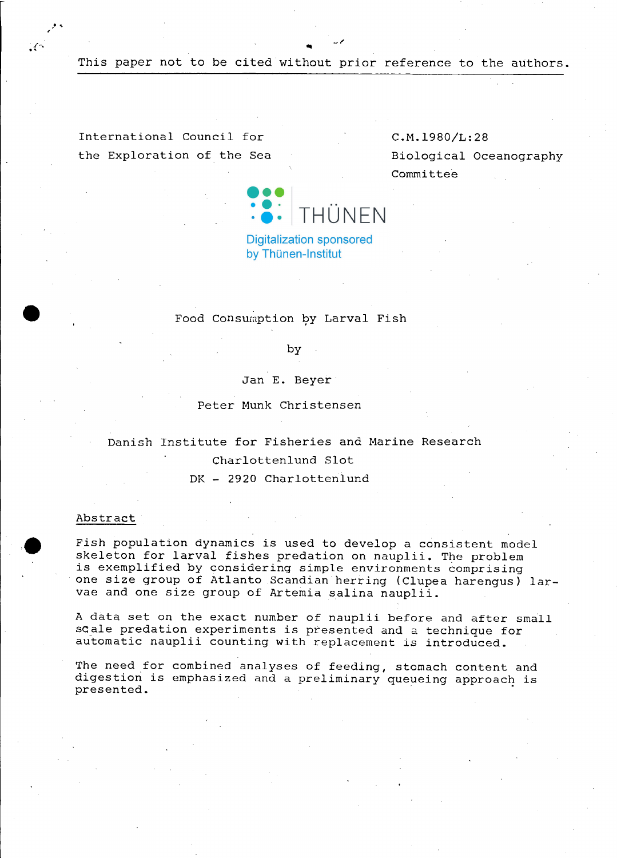This paper not to be cited without prior reference to the authors.

Oll

International Council for the Exploration of the Sea

 $\mathcal{S}$ 

¥÷

C.M.1980/L:28 Biological Oceanography Committee



**Digitalization sponsored** by Thünen-Institut

## Food Consumption by Larval Fish

by

Jan **E.** Beyer

Peter Munk Christensen

Danish Institute for Fisheries and Marine Research Charlottenlund Slot DK - 2920 Charlottenlund

### Abstract

Fish population dynamics is used to develop <sup>a</sup> consistent model skeleton for larval fishes predation on nauplii. The problem is exemplified by considering simple environments comprising one size group of Atlanto Scandian herring (Clupea harengus) larvae and one size group of Artemia salina nauplii.

<sup>A</sup> data set on the exact number of nauplii before and after small scale predation experiments is presented and <sup>a</sup> technique for automatie nauplii counting with replacement is introduced.

The need for combined analyses of feeding, stomach content and digestion is emphasized and a preliminary queueing approach is presented.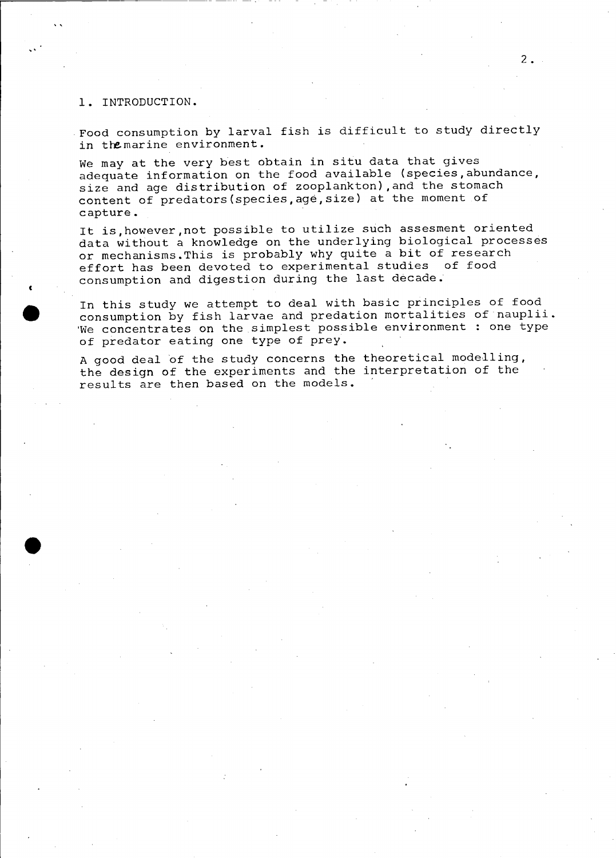### **1.** INTRODUCTION.

"

c

•<br>●

Food consumption by larval fish is difficult to study directly in the marine environment.

We may at the very best obtain in situ data that gives adequate information on the food available (species,abundance, size and age distribution of zooplankton) ,and the stomach content of predators(species,age,size) at the moment of capture.

It is,however,not possible to utilize such assesment oriented data without a knowledge on the underlying biological processes or mechanisms.This is probably why quite <sup>a</sup> bit of research effort has been devoted to experimental studies of food consumption and digestion during the last decade.

In this study we attempt to deal with basic principles of food consumption by fish larvae and predation mortalities of nauplii. 'We concentrates on the simplest possible environment : one type of predator eating one type of prey.

A good deal of the study concerns the theoretical modelling, the design of the experiments and the interpretation of the results are then based on the models.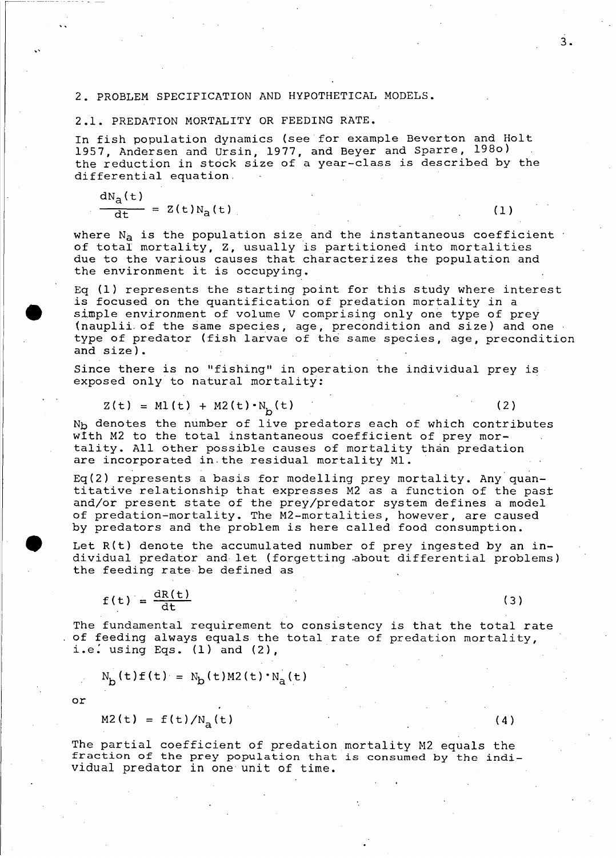#### 2. PROBLEM SPECIFICATION AND HYPOTHETICAL MODELS.

### 2.1. PREDATION MORTALITY OR FEEDING RATE.

In fish population dynamics (see for example Beverton and Holt 1957, Andersen and Ursin, 1977, and Beyer and Sparre, 1980)<br>the reduction in stock size of a year-class is described by the differential equation.

 $= Z(t)N_{a}(t)$  (1) dN<sub>a</sub>(t) dt

where  $N_a$  is the population size and the instantaneous coefficient of total mortality, Z, usually is partitioned into mortalities due to the various causes that characterizes the population and the environment it is occupying.

Eq (1) represents the starting point for this study where interest is focused on the quantification of predation mortality in <sup>a</sup> simple environment of volume V comprising only one type of prey (nauplii of the same species, age, precondition and size) and one type of predator (fish larvae of the same species, age, precondition and size).

Since there is no "fishing" in operation the individual prey is exposed only to natural mortality:

$$
Z(t) = ML(t) + M2(t) \cdot N_b(t)
$$
 (2)

( 3 )

 $(4)$ 

N<sub>b</sub> denotes the number of live predators each of which contributes wtth M2 to the total instantaneous coefficient of prey mortality. All other possible causes of mortality than predation are incorporated in.the residual mortality MI.

Eq(2) represents a basis for modelling prey mortality. Any quantitative relationship that expresses M2 as <sup>a</sup> function of the pasL and/or present state of the prey/predator system defines a model of predation-mortality. The M2-mortalities, however, are caused by predators and the problem is here called food consumption.

Let R(t) denote the accumulated number of prey ingested by an individual predator and let (forgetting .about differential problems) the feeding rate·be defined as

$$
f(t) = \frac{dR(t)}{dt}
$$

The fundamental requirement to consistency is that the total rate of feeding always equals the total rate of predation mortality, i.e. using Eqs.  $(1)$  and  $(2)$ ,

$$
N_{\rm b}(t) f(t) = N_{\rm b}(t) M 2(t) \cdot N_{\rm a}(t)
$$

or

 $M2(t) = f(t)/N_{\rm a}(t)$ 

The partial coefficient of predation mortality M2 equals the fraction of the prey population that is consumed by the individual predator in one unit of time.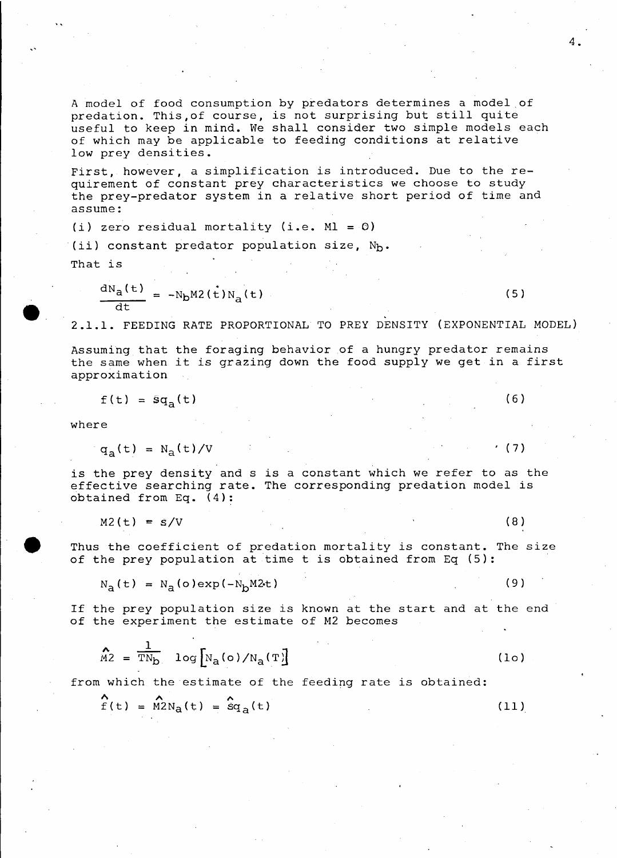A model of food consumption by predators determines a model of predation. This,of course, is not surprising but still quite useful to keep in mind. We shall consider two simple models each of which may be applicable to feeding conditions at relative low prey densities.

First, however, <sup>a</sup> simplification is introduced. Due to the requirement of constant prey characteristics we choose to study the prey-predator system in <sup>a</sup> relative short period of time and assume:

(i) zero residual mortality (i.e.  $ML = 0$ )

(ii) constant predator population size,  $N_{\rm b}$ .

That is

 $\bullet$  .

$$
\frac{dN_a(t)}{dt} = -N_b M 2(t) N_a(t)
$$

2.1.1. FEEDING RATE PROPORTIONAL TO PREY DENSITY (EXPONENTIAL MODEL)

Assumihg that the foraging behavior of <sup>a</sup> hungry predator remains the same when it is grazing down the food supply we get in <sup>a</sup> first approximation

$$
f(t) = \tilde{s}q_a(t)
$$

where

$$
q_2(t) = N_2(t)/V
$$

is the prey density and <sup>s</sup> is <sup>a</sup> constant which we refer to as the effective searching rate. The corresponding predation model is obtained from Eq. (4):

 $M2(t) = s/V$  (8)

Thus the coefficient of predation mortality is constant. The size of the prey population at time <sup>t</sup> is obtained from Eq (5):

$$
N_a(t) = N_a(o) \exp(-N_b M 2t)
$$
 (9)

If the prey population size is known at the start and at the end of the experiment the estimate of M2 becomes

$$
\widehat{M2} = \frac{1}{TN_D} \log [N_A(o)/N_A(T)] \tag{10}
$$

from which the estimate of the feeding rate is obtained:

$$
\hat{f}(t) = \hat{M} 2N_a(t) = \hat{S} q_a(t)
$$
 (11)

 $(6)$ 

• (7)

 $(5)$ 

4.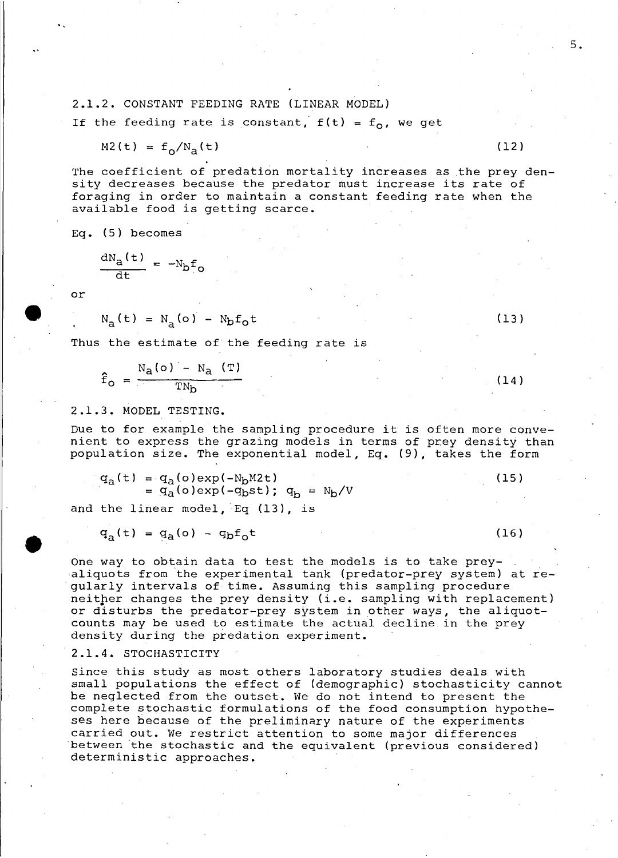# 2.1.2. CONSTANT FEEDING RATE (LINEAR MODEL)

If the feeding rate is constant,  $f(t) = f_0$ , we get

$$
M2(t) = f_{\alpha}/N_{\alpha}(t) \tag{12}
$$

The coefficient of predation mortality increases as the prey density decreases because the predator must increase its rate of foraging in order to maintain <sup>a</sup> constant feeding rate when the available food is getting scarce.

Eq. (5) becomes

$$
\frac{dN_a(t)}{dt} = -N_b f_o
$$

or

**•** 

"

$$
N_{a}(t) = N_{a}(o) - N_{b}f_{o}t
$$

Thus the estimate of the feeding rate is

$$
\hat{f}_o = \frac{N_a(o) - N_a (T)}{TN_b}
$$
 (14)

### 2.1.3. MODEL TESTING.

Due to for example the sampling procedure it is often more convenient to express the grazing models in terms of prey density than population size. The exponential model, Eq. (9), takes the form

$$
q_a(t) = q_a(o) \exp(-N_b M 2t)
$$
  
=  $q_a(o) \exp(-q_b st)$ ;  $q_b = N_b/V$  (15)

and the linear model, Eq (13), is

$$
q_{a}(t) = q_{a}(o) - q_{b}f_{0}t
$$
 (16)

One way to obtain data to test the models is to take preyaliquots from 'the experimental tank (predator-prey system) at regularly intervals of time. Assuming this sampling procedure neitper changes the prey density (i.e. sampling with replacement) or disturbs the predator-prey system in other ways, the aliquotcounts may be used to estimate the actual decline in the prey density during the predation experiment.

2.1.4. STOCHASTICITY

Since this study as most others laboratory studies deals with small populations the effect of (demographie) stochasticity cannot be neglected from the outset. We do not intend to present the complete stochastic formulations of the food consumption hypotheses here because of the preliminary nature of the experiments carried out. We restriet attention to some major differences between 'the stochastic and the equivalent (previous considered) deterministic approaches.

(13)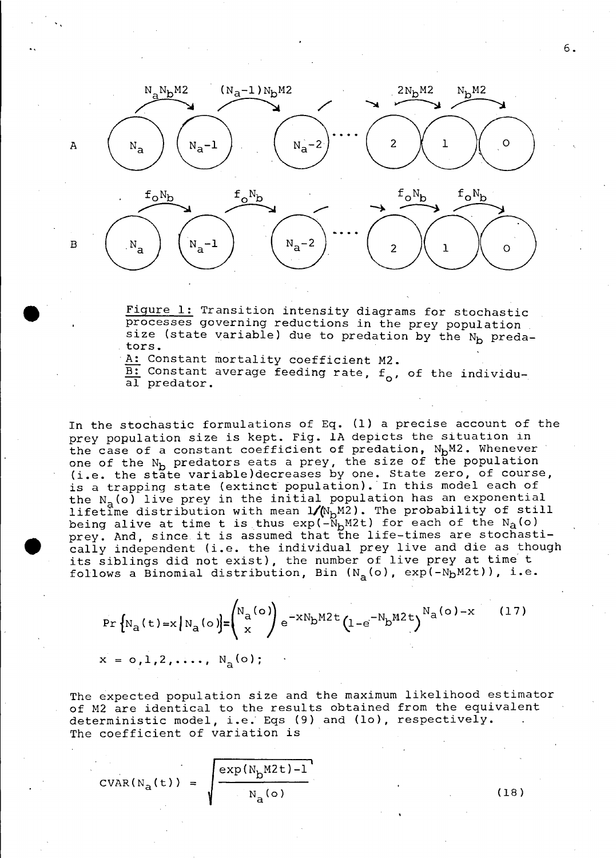

Figure 1: Transition intensity diagrams for stochastic processes governing reductions in the prey population size (state variable) due to predation by the N<sub>b</sub> predators.

A: Constant mortality coefficient M2.

 $\overline{\text{B:}}$  Constant average feeding rate,  $f_0$ , of the individual predator.

In the stochastic formulations of Eq. (1) a precise account of the prey population size is kept. Fig. lA depicts the situation in the case of a constant coefficient of predation,  $N_bM2$ . Whenever one of the  $N_b$  predators eats a prey, the size of the population one of the m<sub>b</sub> predators eats a prey, the size of the population.<br>(i.e. the state variable)decreases by one. State zero, of course, is a trapping state (extinct population). In this model each of the  $N_{\{a}}(o)$  live prey in the initial population has an exponential lifetime distribution with mean  $1/(\mathbb{N}_{\text{D}}$ M2). The probability of still being alive at time t is thus  $exp(-\tilde{N}_{b}M2t)$  for each of the  $N_{a}(o)$ prey. And, since it is assumed that the life-times are stochastically independent (i.e. the individual prey live and die as though its siblings did not exist), the number of live prey at time' <sup>t</sup> follows a Binomial distribution, Bin  $(N_{\mathbf{a}}(\mathsf{o})$ ,  $\text{exp}(-N_{\mathbf{b}}\texttt{M2t}))$ , i.e.

$$
\Pr\left\{N_a(t) = x \mid N_a(o)\right\} = \binom{N_a(o)}{x} e^{-xN_b M 2 t} \left(1 - e^{-N_b M 2 t}\right)^{N_a(o) - x} \tag{17}
$$

$$
x = o, 1, 2, \ldots, N_a(o);
$$

The expected population size and the maximum likelihood estimator of M2 are identical to the results obtained from the equivalent deterministic model, i.e. Eqs (9) and (10), respectively. The coefficient of variation is

exp(N<sub>b</sub>M2t)-l  $N_a$  (o) (18)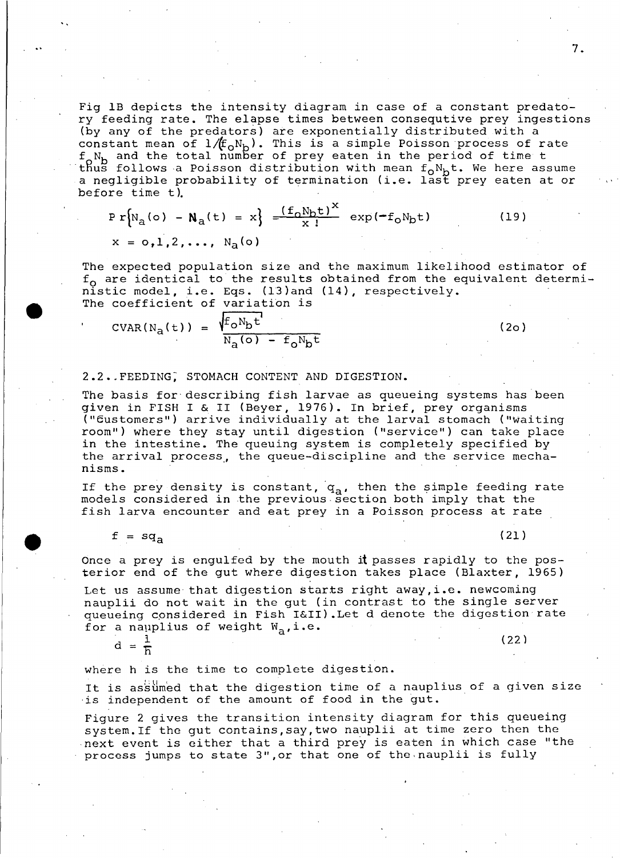Fig IB depicts the intensity diagram in case of <sup>a</sup> constant predatory feeding rate. The elapse times between consequtive prey ingestions (by any of the predators) are exponentially distributed with a constant mean of  $1/(f_0N_b)$ . This is a simple Poisson process of rate  $f_0N_b$  and the total number of prey eaten in the period of time t thus follows a Poisson distribution with mean  $f_{o}N_{b}$ t. We here assume a negligible probability of termination (i.e. last prey eaten at or before time t).

$$
Pr[Na(o) - Na(t) = x] = \frac{(f_0N_bt)^{x}}{x!} exp(-f_0N_bt)
$$
 (19)  

$$
x = o_11, 2, ..., Na(o)
$$

The expected population size and the maximum likelihood estimator of  $f_0$  are identical to the results obtained from the equivalent deterministic model, i.e. Eqs. (13)and (14), respectively. The coefficient of variation is

$$
CVAR(Na(t)) = \frac{\sqrt{f_0 N_b t}}{N_a(o) - f_0 N_b t}
$$
 (20)

### 2.2. FEEDING, STOMACH CONTENT AND DIGESTION.

The basis for describing fish larvae as queueing systems has been given in FISH I & 11 (Beyer, 1976). In brief, prey organisms ("Gustomers") arrive individually at the larval stomach ("waiting room") where they stay until digestion ("service") can take place in the intestine. The queuing system is completely specified by the arrival process., the queue-discipline and the service mechanisms.

If the prey density is constant,  $q_a$ , then the simple feeding rate models considered in the previous section both imply that the fish larva encounter and eat prey in <sup>a</sup> Poisson process at rate

$$
f = sqa
$$

, ,

**•** 

(21)

Once a prey is engulfed by the mouth it passes rapidly to the posterior end of the gut where digestion takes place (Blaxter, 1965)

Let us assume that digestion starts right away,i.e. newcoming nauplii do not wait in the gut (in contrast to the single server queueing cpnsidered in Fish I&II).Let <sup>d</sup> denote the digestion rate for a nauplius of weight  $W_a$ , i.e.

 $d = \frac{1}{h}$  (22)

where <sup>h</sup> is the time to complete digestion.

It is assumed that the digestion time of a nauplius of a given size is independent of the amount of food in the gut.

Figure <sup>2</sup> gives the transition intensity diagram for this queueing system.lf thc gut contains,say,two nauplii at time zero then the next event is cither that <sup>a</sup> third prey is eaten in which case "the process jumps to state 3",or that one of the,nauplii is fully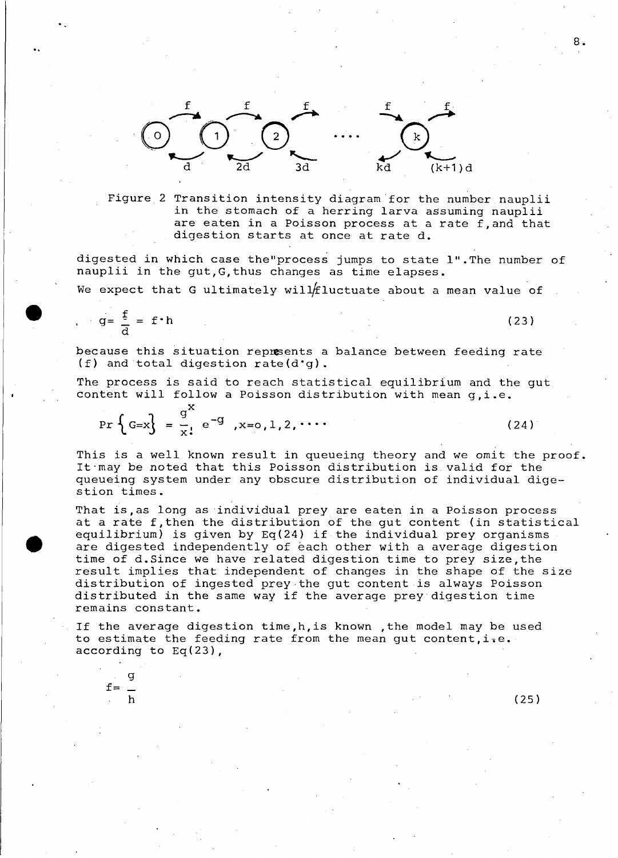

Figure 2 Transition intensity diagram for the number nauplii in the stomach of a herring larva assuming nauplii are eaten in <sup>a</sup> Poisson process at <sup>a</sup> rate f,and that digestion starts at once at rate d.

digested in which case the"process jumps to state l".The number of nauplii in the gut,G,thus changes as time elapses.

We expect that G ultimately will fluctuate about a mean value of

$$
g = \frac{f}{d} = f \cdot h \tag{23}
$$

because this situation repusents <sup>a</sup> balance between feeding rate (f) and total digestion rate(d'g).

The process is said to reach statistical equilibrium and the gut content will follow <sup>a</sup> Poisson distribution with mean g,i.e.

$$
\Pr\left\{G=x\right\} = \frac{g^{X}}{x!} e^{-g}, x=0,1,2,\cdots
$$
 (24)

This is <sup>a</sup> weIl known result in queueing theory and we omit the proof. It"may be noted that this Poisson distribution is valid for the queueing system under any obscure distribution of individual digestion times.

That is, as long as individual prey are eaten in a Poisson process at <sup>a</sup> rate f,then the distribution of the gut content (in statistical equilibrium) is given by  $Eq(24)$  if the individual prey organisms are digested independently of each other with a average digestion time of d.Since we have related digestion time to prey size,the result implies that independent of changes in the shape of the size distribution of ingested prey the gut content is always Poisson distributed in the same way if the average prey digestion time remains constant.

If the average digestion time,h,is known ,the model may be used to estimate the feeding rate from the mean gut content,  $i.e.$ according to Eq(23),

 $f=$   $$ g

h (25)

8.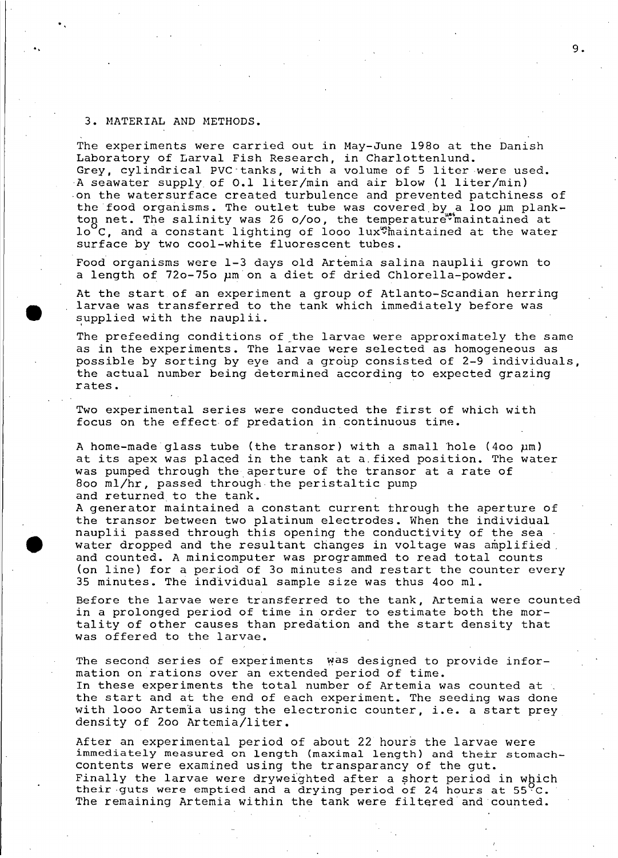## 3. MATERIAL AND METHODS.

.,

**•** 

The experiments were carried out in May-June 1980 at the Danish Laboratory of Larval Fish Research, in Charlottenlund. Grey, cylindrical PVC tanks, with a volume of 5 liter were used. ·A seawater supply of 0.1 liter/min and air blow (1 liter/min) ·on the watersurface created turbulence and prevented patchiness of the food organisms. The outlet tube was covered by a loo um plankton net. The salinity was 26  $o/oo$ , the temperature maintained at  $10^{6}$ C, and a constant lighting of looo lux $\%$  haintained at the water surface by two cool-white fluorescent tubes.

Food organisms were 1-3 days old Artemia salina nauplii grown to <sup>a</sup> length of 720-750 *pm* on <sup>a</sup> diet of dried Chlorella-powder.

At the start of an experiment <sup>a</sup> group of Atlanto-Scandian herring larvae was transferred to the tank which immediately before was supplied with the nauplii.

The prefeeding conditions of the larvae were approximately the same as in the experiments. The larvae were selected as homogeneous as possible by sorting by eye and a group consisted of 2-9 individuals, the actual number being determined according to expected grazing rates.

Two experimental series were conducted the first of which with focus on the effect of predation in continuous time.

A home-madeglass tube (the transor) with a small hole (400 *pm)* at its apex was placed in the tank at a.fixed position. The water was pumped through the aperture of the transor at <sup>a</sup> rate of 800 ml/hr, passed through the peristaltic pump and returned to the tank.

A generator maintained a constant current through the aperture of the transor between two platinum electrodes. When the individual nauplii passed through this opening the conductivity of the sea . water dropped and the resultant changes in voltage was amplified. and counted. <sup>A</sup> minicomputer was programmed to read total counts (on line) for a period of 30 minutes and restart the counter every 35 minutes. The individual sampIe size was thus 400 ml.

Before the larvae were transferred to the tank, Artemia were counted in a prolonged period of time in order to estimate both the mortality of other causes than predation and the start density that was offered to the larvae.

The second series of experiments was designed to provide information on rations over an extended period of time. In these experiments the total number of Artemia was counted at . the start and at the end of each experiment. The seeding was done with looo Artemia using the electronic counter, i.e. a start prey density of 200 Artemia/liter.

After an experimental period of about 22 hours the larvae were immediately measured on length (maximal length) and their stomachcontents were examined using the transparancy of the gut. Finally the larvae were dryweighted after a short period in which their guts were emptied and a drying period of 24 hours at  $55\%C$ . The remaining Artemia within the tank were filtered and counted.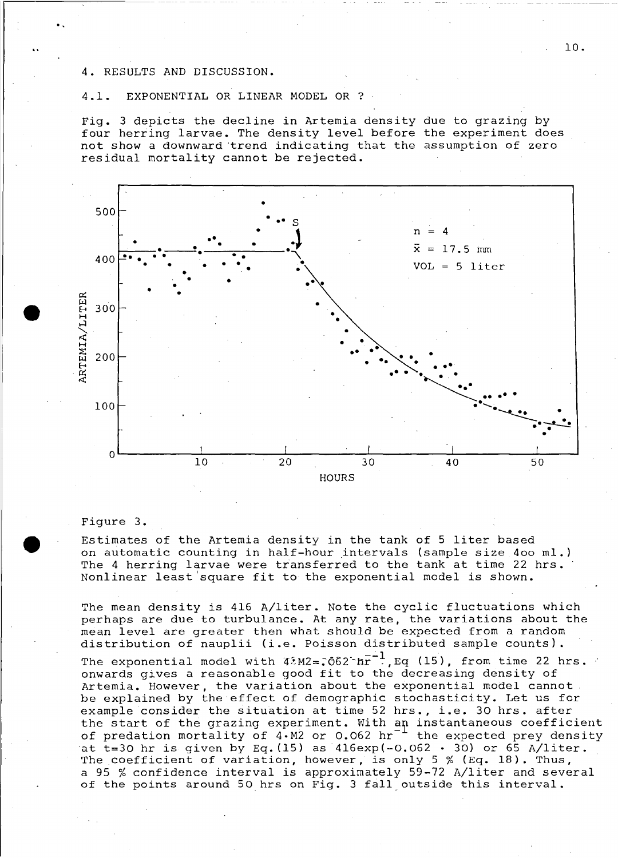### RESULTS AND DISCUSSION.

..

**•** 

## 4.1. EXPONENTIAL OR LINEAR MODEL OR ?

Fig. 3 depiets the deeline in Artemia density due to grazing by four herring larvae. The density level before the experiment does not show <sup>a</sup> downward 'trend indieating that the assumption of zero residual mortality cannot be rejected.



#### Figure 3.

Estimates of the Artemia density in the tank of <sup>5</sup> liter based on automatic counting in half-hour intervals (sample size 400 ml.) The <sup>4</sup> herring larvae were transferred to the tank at time <sup>22</sup> hrs. Nonlinear least 'square fit to the exponential model is shown.

The mean density is 416 A/liter. Note the cyclic fluctuations which perhaps are due to turbulanee. At any rate, the variations about the mean level are greater then what should be expeeted from a random distribution of nauplii (i.e. Poisson distributed sampie counts).

The exponential model with  $42M2=0.062 \text{ hr}^{-1}$ , Eq (15), from time 22 hrs. onwards gives <sup>a</sup> reasonable good fit to the deereasing density of Artemia. However, the variation about the exponential model eannot be explained by the effeet of demographie stoehastieity. Let us for example consider the situation at time 52 hrs., i.e. 30 hrs. after the start of the grazing experiment. With an instantaneous coefficient of predation mortality of  $4. M2$  or 0.062 hr<sup>-1</sup> the expected prey density at  $t=30$  hr is given by Eq. (15) as  $416exp(-0.062 + 30)$  or 65 A/liter. The coefficient of variation, however, is only 5 % (Eq. 18). Thus, <sup>a</sup> <sup>95</sup> % confidence interval is approximately 59-72 A/liter and several of the points around 50 hrs on Fig. 3 fall outside this interval.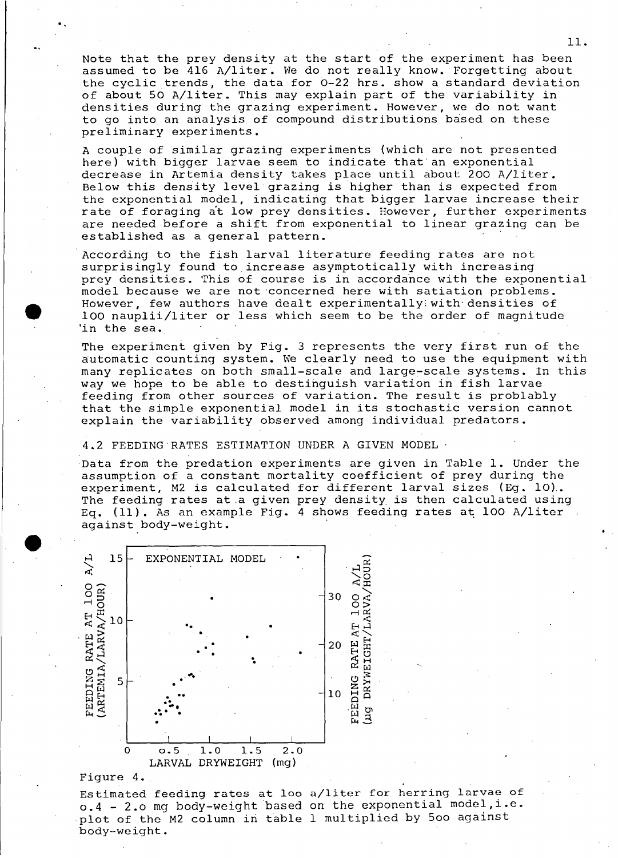Note that the prey density at the start of the experiment has been assumed to be 416 A/liter. We do not really know. Forgetting about the cyclic trends, the data for 0-22 hrs. show a standard deviation of about 50 A/liter. This may explain part of the variability in densities during the grazing experiment. However, we do not want to go into an analysis of compound distributions based on these preliminary experiments.

A couple of similar grazing experiments (which are not presented here) with bigger larvae seem to indicate that an exponential decrease in Artemia density takes place until about 200 A/liter. Below this density level grazing is higher than is expected from the exponential model, indicating that bigger larvae increase their rate of foraging at low prey densities. However, further experiments are needed before <sup>a</sup> shift from exponential to linear grazing can be established as a general pattern .

According to the fish larval literature feeding rates are not surprisingly found to inerease asymptotieally with increasing prey densities. This of course is in accordance with the exponential model because we are not concerned here with satiation problems. However, few authors have dealt experimentally with densities of 100 nauplii/liter or less whieh seem to be the order of magnitude 'in the sea.

The experiment given by Fig. <sup>3</sup> represents the very first run of the automatie eounting system. We clearly need to use the equipment with many replieates on both small-seale and large~seale systems. In this way we hope to be able to destinguish variation in fish larvae feeding from other sources of variation. The result is problably that the simple exponential model in its stoehastie version cannot explain the variability observed among individual predators.

4.2 FEEDING·RATES ESTIMATION UNDER A GIVEN MODEL'

Data from the predation experiments are given in Table 1. Under the assumption of <sup>a</sup> eonstant mortality eoeffieient of prey during the experiment, M2 is calculated for different larval sizes (Eg. 10). The feeding rates at.a given prey density is then ealeulated using Eq.  $(11)$ . As an example Fig. 4 shows feeding rates at 100 A/liter against body-weight •



#### Figure <sup>4</sup> ..

•

..

Estimated feeding rates at <sup>100</sup> a/liter for herring larvae of  $o.4$  - 2.0 mg body-weight based on the exponential model, i.e. plot of the M2 column in table 1 multiplied by 500 against body-weight.

11.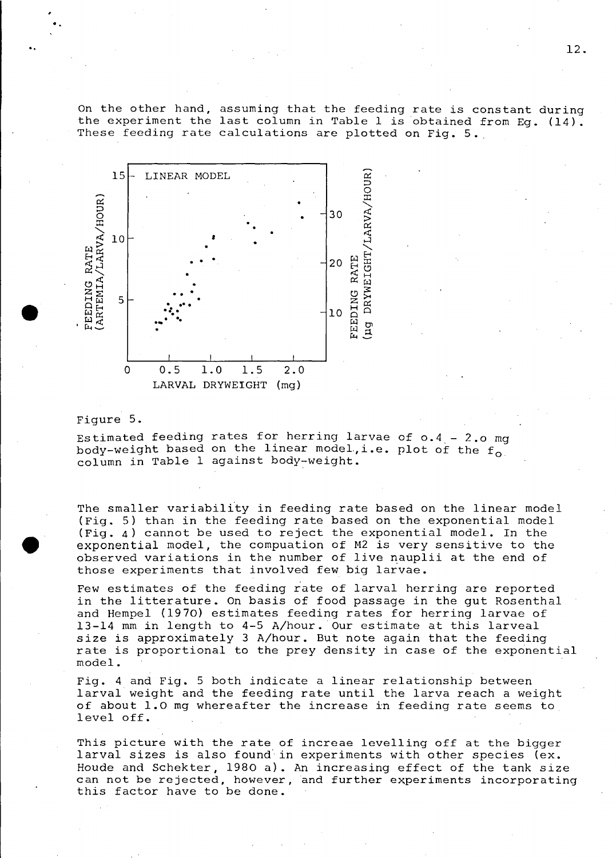On the other hand, assuming that the feeding rate is constant during the experiment the last column in Table <sup>1</sup> is obtained from Eg. (14). These feeding rate calculations are plotted on Fig. 5.



#### Figure 5.

..

..

Estimated feeding rates for herring larvae of  $0.4 - 2.0$  mg body-weight based on the linear model.i.e. plot of the  $f_0$  column in Table 1 against body-weight.

The smaller variability in feeding rate based on the linear model (Fig. 5) than in the feeding rate based on the exponential model (Fig. 4) cannot be used to reject the exponential model. In the exponential model, the compuation of M2 is very sensitive to the observed variations in the number of live nauplii at the end of those experiments that involved few big larvae.

Few estimates of the feeding rate of larval herring are reported in the litterature. On basis of food passage in the gut RosenthaI and Hempel (1970) estimates feeding rates for herring larvae of 13-14 mm in length to 4-5 A/hour. Our estimate at this larveal size is approximately <sup>3</sup> A/hour. But note again that the feeding rate is proportional to the prey density in case of the exponential model.

Fig. <sup>4</sup> and Fig. <sup>5</sup> both indicate <sup>a</sup> linear relationship between larval weight and the feeding rate until the larva reach <sup>a</sup> weight of about 1.0 mg whereafter the increase in feeding rate seems to level off.

This picture with the rate of increae levelling off at the bigger larval sizes is also found in experiments with other species (ex. Houde and Schekter, 1980 a). An increasing effect of the tank size can not be rejected, however, and further experiments incorporating this factor have to be done.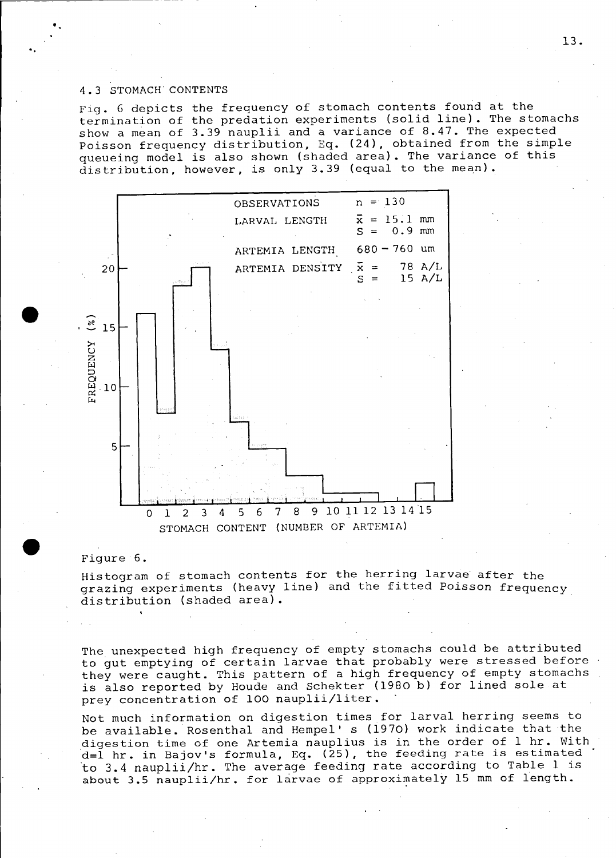#### 4.3 STOMACH CONTENTS

",

Fig. <sup>G</sup> depicts the frequency of stomach contents found at the termination of the predation experiments (solid line). The stomaehs show a mean of 3.39 nauplii and a variance of 8.47. The expected Poisson frequency distribution, Eq. (24), obtained from the simple queueing model is also shown (shaded area). The variance of this distribution, however, is only  $3.39$  (equal to the mean).



#### Figure 6.

Histogram of stomach contents for the herring larvae' after the grazing experiments (heavy line) and the fitted Poisson frequency distribution (shaded areal.

The unexpected high frequency of empty stomachs could be attributed to gut emptying of certain larvae that probably were stressed before  $\cdot$ they were caught. This pattern of a high frequency of empty stomaehs is also reported by Houde and Schekter (1980 b) for 1ined sole at prey concentration of 100 naup1ii/liter.

Not much information on digestion times for larval herring seems to be available. Rosenthal and Hempel' s (1970) work indicate that the digestion time of one Artemia nauplius is in the order of <sup>1</sup> hr. with d=1 hr. in Bajov's formu1a, Eq. (25), the feeding rate is estimated to 3.4 nauplii/hr. The average feeding rate according to Table 1 is about  $3.5$  nauplii/hr. for larvae of approximately 15 mm of length.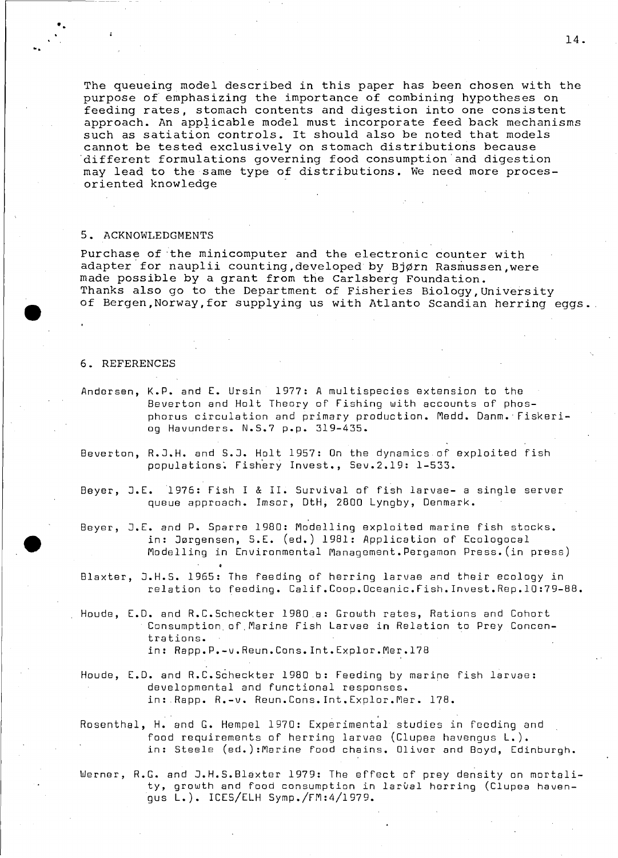The queueing model described in this paper has been chosen with the purpose of emphasizing the importance of combining hypotheses on feeding rates, stomach contents and digestion into one consistent approach. An applicable model must incorporate feed back mechanisms such as satiation controls. It should also be noted that models cannot be tested exclusively on stomach distributions because 'different formulations governing food consumption'and digestion may lead to the same type of distributions. We need more procesoriented knowledge

#### 5. ACKNOWLEDGMENTS

Purchase of 'the minicomputer and the electronic counter with adapter for nauplii counting, developed by Bjørn Rasmussen, were made possible by a grant from the Carlsberg Foundation. Thanks also go to the Department of Fisheries Biology,University of Bergen, Norway, for supplying us with Atlanto Scandian herring eggs.

### 6. REFERENCES

- Andersen, K.P. and E. Ursin 1977: A multispecies extension to the Beverton and Holt Theory of Fishing with accounts of phosphorus circulation and primary production. Medd. Oanm. Fiskeriog Havunders. N.S.7 p.p. 319-435.
- Beverton, R.J.H. and S.J. Holt 1957: On the dynamics of exploited fish populations. Fishery Invest., Sev.2.19: 1-533.
- Beyer, J.E.1976: Fish <sup>I</sup> & 11. Survival of fish larvae- <sup>a</sup> single server queue approach. 1msar, OtH, 2800 Lyngby, Oenmark.
- Beyer, J.E. and P. Sparre 1980: Modelling exploited marine fish stocks. in: Jørgensen, S.E. (ed.) 1981: Application of Ecologocal Modelling in Environmental Management.Pergamon Press.(in press)
- Blaxter, J.H.S. 1965: The fee ding of herring larvae and their ecology in relation to feeding. Calif.Coop.Oceanic.Fish.lnvest.Rep.lO:79-B8.
- Houde, E.O. and R.C.Scheckter 1980,a: Growth rates, Rations and Cohort Consumption of,Marine Fish Larvae in Relation to Prey Concentrations. in: Rapp.P.-v.Reun.Cons.lnt.Explor.Mer.178
- Houde, E.O. and R.C.Scheckter 1980 b: Feeding by marine fish larvae: developmental and functional responses. in: ,Rapp. R.-v. Reun.Cons.lnt.Explor.Mer. 178.

Rosenthal, H. and G. Hempel 1970: Experimental studies in feeding and food requirements of herring 1arvae (C1upea havengus L.). in: Steele (ed.):Marine food chains. Oliver and Boyd, Edinburgh.

Werner, R.G. and J.H.S.Blaxter 1979: The effect of prey density on morta1ity, growth and food consumption in larval herring (Clupea havengus L.). ICES/ELH Symp./FM:4/1979.